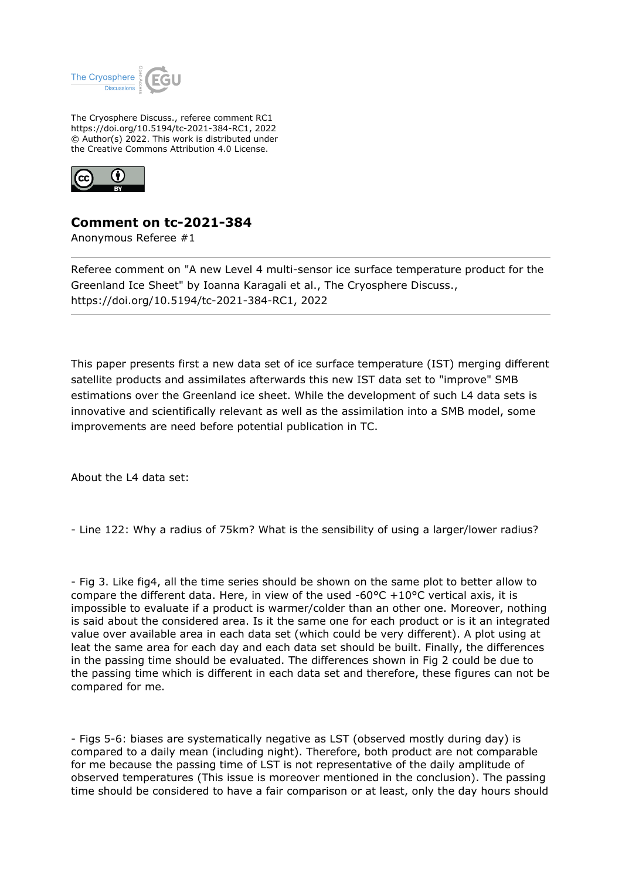

The Cryosphere Discuss., referee comment RC1 https://doi.org/10.5194/tc-2021-384-RC1, 2022 © Author(s) 2022. This work is distributed under the Creative Commons Attribution 4.0 License.



## **Comment on tc-2021-384**

Anonymous Referee #1

Referee comment on "A new Level 4 multi-sensor ice surface temperature product for the Greenland Ice Sheet" by Ioanna Karagali et al., The Cryosphere Discuss., https://doi.org/10.5194/tc-2021-384-RC1, 2022

This paper presents first a new data set of ice surface temperature (IST) merging different satellite products and assimilates afterwards this new IST data set to "improve" SMB estimations over the Greenland ice sheet. While the development of such L4 data sets is innovative and scientifically relevant as well as the assimilation into a SMB model, some improvements are need before potential publication in TC.

About the L4 data set:

- Line 122: Why a radius of 75km? What is the sensibility of using a larger/lower radius?

- Fig 3. Like fig4, all the time series should be shown on the same plot to better allow to compare the different data. Here, in view of the used -60 $\degree$ C +10 $\degree$ C vertical axis, it is impossible to evaluate if a product is warmer/colder than an other one. Moreover, nothing is said about the considered area. Is it the same one for each product or is it an integrated value over available area in each data set (which could be very different). A plot using at leat the same area for each day and each data set should be built. Finally, the differences in the passing time should be evaluated. The differences shown in Fig 2 could be due to the passing time which is different in each data set and therefore, these figures can not be compared for me.

- Figs 5-6: biases are systematically negative as LST (observed mostly during day) is compared to a daily mean (including night). Therefore, both product are not comparable for me because the passing time of LST is not representative of the daily amplitude of observed temperatures (This issue is moreover mentioned in the conclusion). The passing time should be considered to have a fair comparison or at least, only the day hours should